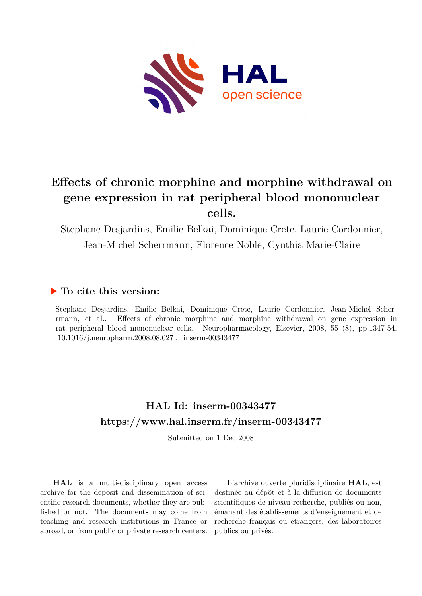

# **Effects of chronic morphine and morphine withdrawal on gene expression in rat peripheral blood mononuclear cells.**

Stephane Desjardins, Emilie Belkai, Dominique Crete, Laurie Cordonnier, Jean-Michel Scherrmann, Florence Noble, Cynthia Marie-Claire

## **To cite this version:**

Stephane Desjardins, Emilie Belkai, Dominique Crete, Laurie Cordonnier, Jean-Michel Scherrmann, et al.. Effects of chronic morphine and morphine withdrawal on gene expression in rat peripheral blood mononuclear cells.. Neuropharmacology, Elsevier, 2008, 55 (8), pp.1347-54. 10.1016/j.neuropharm.2008.08.027 . inserm-00343477

## **HAL Id: inserm-00343477 <https://www.hal.inserm.fr/inserm-00343477>**

Submitted on 1 Dec 2008

**HAL** is a multi-disciplinary open access archive for the deposit and dissemination of scientific research documents, whether they are published or not. The documents may come from teaching and research institutions in France or abroad, or from public or private research centers.

L'archive ouverte pluridisciplinaire **HAL**, est destinée au dépôt et à la diffusion de documents scientifiques de niveau recherche, publiés ou non, émanant des établissements d'enseignement et de recherche français ou étrangers, des laboratoires publics ou privés.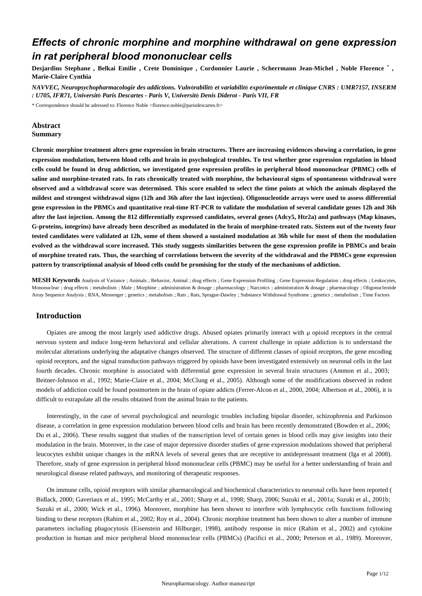## *Effects of chronic morphine and morphine withdrawal on gene expression in rat peripheral blood mononuclear cells*

, \* Desjardins Stephane , Belkai Emilie , Crete Dominique , Cordonnier Laurie , Scherrmann Jean-Michel , Noble Florence **Marie-Claire Cynthia**

*NAVVEC, Neuropsychopharmacologie des addictions. Vuln*é*rabilit*é *et variabilit*é *exp*é*rimentale et clinique CNRS : UMR7157, INSERM : U705, IFR71, Universit*é *Paris Descartes - Paris V, Universit*é *Denis Diderot - Paris VII, FR*

\* Correspondence should be adressed to: Florence Noble <florence.noble@parisdescartes.fr>

## **Abstract Summary**

**Chronic morphine treatment alters gene expression in brain structures. There are increasing evidences showing a correlation, in gene expression modulation, between blood cells and brain in psychological troubles. To test whether gene expression regulation in blood cells could be found in drug addiction, we investigated gene expression profiles in peripheral blood mononuclear (PBMC) cells of saline and morphine-treated rats. In rats chronically treated with morphine, the behavioural signs of spontaneous withdrawal were observed and a withdrawal score was determined. This score enabled to select the time points at which the animals displayed the mildest and strongest withdrawal signs (12h and 36h after the last injection). Oligonucleotide arrays were used to assess differential gene expression in the PBMCs and quantitative real-time RT-PCR to validate the modulation of several candidate genes 12h and 36h after the last injection. Among the 812 differentially expressed candidates, several genes (Adcy5, Htr2a) and pathways (Map kinases, G-proteins, integrins) have already been described as modulated in the brain of morphine-treated rats. Sixteen out of the twenty four tested candidates were validated at 12h, some of them showed a sustained modulation at 36h while for most of them the modulation evolved as the withdrawal score increased. This study suggests similarities between the gene expression profile in PBMCs and brain of morphine treated rats. Thus, the searching of correlations between the severity of the withdrawal and the PBMCs gene expression pattern by transcriptional analysis of blood cells could be promising for the study of the mechanisms of addiction.**

**MESH Keywords** Analysis of Variance ; Animals ; Behavior, Animal ; drug effects ; Gene Expression Profiling ; Gene Expression Regulation ; drug effects ; Leukocytes, Mononuclear ; drug effects ; metabolism ; Male ; Morphine ; administration & dosage ; pharmacology ; Narcotics ; administration & dosage ; pharmacology ; Oligonucleotide Array Sequence Analysis ; RNA, Messenger ; genetics ; metabolism ; Rats ; Rats, Sprague-Dawley ; Substance Withdrawal Syndrome ; genetics ; metabolism ; Time Factors

## **Introduction**

Opiates are among the most largely used addictive drugs. Abused opiates primarily interact with μ opioid receptors in the central nervous system and induce long-term behavioral and cellular alterations. A current challenge in opiate addiction is to understand the molecular alterations underlying the adaptative changes observed. The structure of different classes of opioid receptors, the gene encoding opioid receptors, and the signal transduction pathways triggered by opioids have been investigated extensively on neuronal cells in the last fourth decades. Chronic morphine is associated with differential gene expression in several brain structures (Ammon et al., 2003; Beitner-Johnson et al., 1992; Marie-Claire et al., 2004; McClung et al., 2005). Although some of the modifications observed in rodent models of addiction could be found postmortem in the brain of opiate addicts (Ferrer-Alcon et al., 2000, 2004; Albertson et al., 2006), it is difficult to extrapolate all the results obtained from the animal brain to the patients.

Interestingly, in the case of several psychological and neurologic troubles including bipolar disorder, schizophrenia and Parkinson disease, a correlation in gene expression modulation between blood cells and brain has been recently demonstrated (Bowden et al., 2006; Du et al., 2006). These results suggest that studies of the transcription level of certain genes in blood cells may give insights into their modulation in the brain. Moreover, in the case of major depressive disorder studies of gene expression modulations showed that peripheral leucocytes exhibit unique changes in the mRNA levels of several genes that are receptive to antidepressant treatment (Iga et al 2008). Therefore, study of gene expression in peripheral blood mononuclear cells (PBMC) may be useful for a better understanding of brain and neurological disease related pathways, and monitoring of therapeutic responses.

On immune cells, opioid receptors with similar pharmacological and biochemical characteristics to neuronal cells have been reported ( Bidlack, 2000; Gaveriaux et al., 1995; McCarthy et al., 2001; Sharp et al., 1998; Sharp, 2006; Suzuki et al., 2001a; Suzuki et al., 2001b; Suzuki et al., 2000; Wick et al., 1996). Moreover, morphine has been shown to interfere with lymphocytic cells functions following binding to these receptors (Rahim et al., 2002; Roy et al., 2004). Chronic morphine treatment has been shown to alter a number of immune parameters including phagocytosis (Eisenstein and Hilburger, 1998), antibody response in mice (Rahim et al., 2002) and cytokine production in human and mice peripheral blood mononuclear cells (PBMCs) (Pacifici et al., 2000; Peterson et al., 1989). Moreover,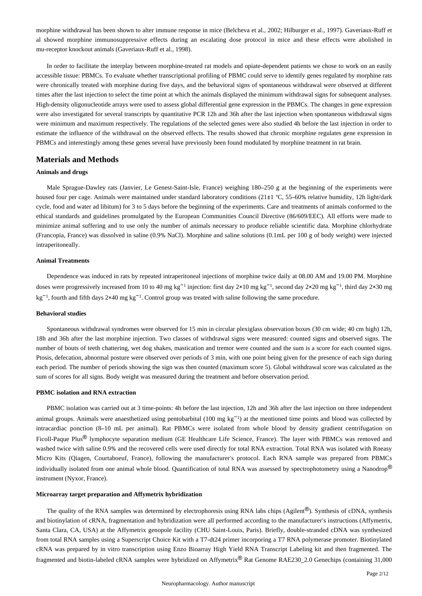morphine withdrawal has been shown to alter immune response in mice (Belcheva et al., 2002; Hilburger et al., 1997). Gaveriaux-Ruff et al showed morphine immunosuppressive effects during an escalating dose protocol in mice and these effects were abolished in mu-receptor knockout animals (Gaveriaux-Ruff et al., 1998).

In order to facilitate the interplay between morphine-treated rat models and opiate-dependent patients we chose to work on an easily accessible tissue: PBMCs. To evaluate whether transcriptional profiling of PBMC could serve to identify genes regulated by morphine rats were chronically treated with morphine during five days, and the behavioral signs of spontaneous withdrawal were observed at different times after the last injection to select the time point at which the animals displayed the minimum withdrawal signs for subsequent analyses. High-density oligonucleotide arrays were used to assess global differential gene expression in the PBMCs. The changes in gene expression were also investigated for several transcripts by quantitative PCR 12h and 36h after the last injection when spontaneous withdrawal signs were minimum and maximum respectively. The regulations of the selected genes were also studied 4h before the last injection in order to estimate the influence of the withdrawal on the observed effects. The results showed that chronic morphine regulates gene expression in PBMCs and interestingly among these genes several have previously been found modulated by morphine treatment in rat brain.

#### **Materials and Methods**

#### **Animals and drugs**

Male Sprague-Dawley rats (Janvier, Le Genest-Saint-Isle, France) weighing 180–250 g at the beginning of the experiments were housed four per cage. Animals were maintained under standard laboratory conditions (21±1 °C, 55–60% relative humidity, 12h light/dark cycle, food and water ad libitum) for 3 to 5 days before the beginning of the experiments. Care and treatments of animals conformed to the ethical standards and guidelines promulgated by the European Communities Council Directive (86/609/EEC). All efforts were made to minimize animal suffering and to use only the number of animals necessary to produce reliable scientific data. Morphine chlorhydrate (Francopia, France) was dissolved in saline (0.9% NaCl). Morphine and saline solutions (0.1mL per 100 g of body weight) were injected intraperitoneally.

#### **Animal Treatments**

Dependence was induced in rats by repeated intraperitoneal injections of morphine twice daily at 08.00 AM and 19.00 PM. Morphine doses were progressively increased from 10 to 40 mg kg<sup>-1</sup> injection: first day 2×10 mg kg<sup>-1</sup>, second day 2×20 mg kg<sup>-1</sup>, third day 2×30 mg  $kg^{-1}$ , fourth and fifth days 2×40 mg kg<sup>-1</sup>. Control group was treated with saline following the same procedure.

#### **Behavioral studies**

Spontaneous withdrawal syndromes were observed for 15 min in circular plexiglass observation boxes (30 cm wide; 40 cm high) 12h, 18h and 36h after the last morphine injection. Two classes of withdrawal signs were measured: counted signs and observed signs. The number of bouts of teeth chattering, wet dog shakes, mastication and tremor were counted and the sum is a score for each counted signs. Ptosis, defecation, abnormal posture were observed over periods of 3 min, with one point being given for the presence of each sign during each period. The number of periods showing the sign was then counted (maximum score 5). Global withdrawal score was calculated as the sum of scores for all signs. Body weight was measured during the treatment and before observation period.

#### **PBMC isolation and RNA extraction**

PBMC isolation was carried out at 3 time-points: 4h before the last injection, 12h and 36h after the last injection on three independent animal groups. Animals were anaesthetized using pentobarbital (100 mg kg<sup>-1</sup>) at the mentioned time points and blood was collected by intracardiac ponction (8–10 mL per animal). Rat PBMCs were isolated from whole blood by density gradient centrifugation on Ficoll-Paque Plus<sup>®</sup> lymphocyte separation medium (GE Healthcare Life Science, France). The layer with PBMCs was removed and washed twice with saline 0.9% and the recovered cells were used directly for total RNA extraction. Total RNA was isolated with Rneasy Micro Kits (Qiagen, Courtaboeuf, France), following the manufacturer's protocol. Each RNA sample was prepared from PBMCs individually isolated from one animal whole blood. Quantification of total RNA was assessed by spectrophotometry using a Nanodrop® instrument (Nyxor, France).

#### **Microarray target preparation and Affymetrix hybridization**

The quality of the RNA samples was determined by electrophoresis using RNA labs chips (Agilent®). Synthesis of cDNA, synthesis and biotinylation of cRNA, fragmentation and hybridization were all performed according to the manufacturer's instructions (Affymetrix, Santa Clara, CA, USA) at the Affymetrix genopole facility (CHU Saint-Louis, Paris). Briefly, double-stranded cDNA was synthesized from total RNA samples using a Superscript Choice Kit with a T7-dt24 primer incorporing a T7 RNA polymerase promoter. Biotinylated cRNA was prepared by in vitro transcription using Enzo Bioarray High Yield RNA Transcript Labeling kit and then fragmented. The fragmented and biotin-labeled cRNA samples were hybridized on Affymetrix® Rat Genome RAE230\_2.0 Genechips (containing 31,000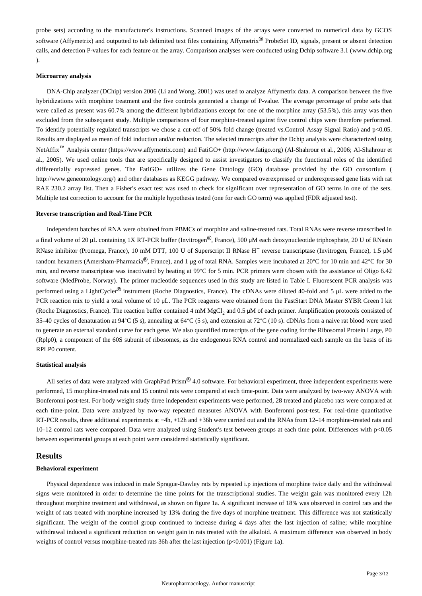probe sets) according to the manufacturer's instructions. Scanned images of the arrays were converted to numerical data by GCOS software (Affymetrix) and outputted to tab delimited text files containing Affymetrix<sup>®</sup> ProbeSet ID, signals, present or absent detection calls, and detection P-values for each feature on the array. Comparison analyses were conducted using Dchip software 3.1 (www.dchip.org ).

#### **Microarray analysis**

DNA-Chip analyzer (DChip) version 2006 (Li and Wong, 2001) was used to analyze Affymetrix data. A comparison between the five hybridizations with morphine treatment and the five controls generated a change of P-value. The average percentage of probe sets that were called as present was 60.7% among the different hybridizations except for one of the morphine array (53.5%), this array was then excluded from the subsequent study. Multiple comparisons of four morphine-treated against five control chips were therefore performed. To identify potentially regulated transcripts we chose a cut-off of 50% fold change (treated vs.Control Assay Signal Ratio) and p<0.05. Results are displayed as mean of fold induction and/or reduction. The selected transcripts after the Dchip analysis were characterized using NetAffix<sup>™</sup> Analysis center (https://www.affymetrix.com) and FatiGO+ (http://www.fatigo.org) (Al-Shahrour et al., 2006; Al-Shahrour et al., 2005). We used online tools that are specifically designed to assist investigators to classify the functional roles of the identified differentially expressed genes. The FatiGO+ utilizes the Gene Ontology (GO) database provided by the GO consortium ( http://www.geneontology.org/) and other databases as KEGG pathway. We compared overexpressed or underexpressed gene lists with rat RAE 230.2 array list. Then a Fisher's exact test was used to check for significant over representation of GO terms in one of the sets. Multiple test correction to account for the multiple hypothesis tested (one for each GO term) was applied (FDR adjusted test).

#### **Reverse transcription and Real-Time PCR**

Independent batches of RNA were obtained from PBMCs of morphine and saline-treated rats. Total RNAs were reverse transcribed in a final volume of 20 μL containing 1X RT-PCR buffer (Invitrogen®, France), 500 μM each deoxynucleotide triphosphate, 20 U of RNasin RNase inhibitor (Promega, France), 10 mM DTT, 100 U of Superscript II RNase H− reverse transcriptase (Invitrogen, France), 1.5 μM random hexamers (Amersham-Pharmacia®, France), and 1 μg of total RNA. Samples were incubated at 20°C for 10 min and 42°C for 30 min, and reverse transcriptase was inactivated by heating at 99°C for 5 min. PCR primers were chosen with the assistance of Oligo 6.42 software (MedProbe, Norway). The primer nucleotide sequences used in this study are listed in Table I. Fluorescent PCR analysis was performed using a LightCycler® instrument (Roche Diagnostics, France). The cDNAs were diluted 40-fold and 5 μL were added to the PCR reaction mix to yield a total volume of 10 μL. The PCR reagents were obtained from the FastStart DNA Master SYBR Green I kit (Roche Diagnostics, France). The reaction buffer contained 4 mM  $MgCl<sub>2</sub>$  and 0.5  $\mu$ M of each primer. Amplification protocols consisted of 35–40 cycles of denaturation at 94°C (5 s), annealing at 64°C (5 s), and extension at 72°C (10 s). cDNAs from a naive rat blood were used to generate an external standard curve for each gene. We also quantified transcripts of the gene coding for the Ribosomal Protein Large, P0 (Rplp0), a component of the 60S subunit of ribosomes, as the endogenous RNA control and normalized each sample on the basis of its RPLP0 content.

#### **Statistical analysis**

All series of data were analyzed with GraphPad Prism® 4.0 software. For behavioral experiment, three independent experiments were performed, 15 morphine-treated rats and 15 control rats were compared at each time-point. Data were analyzed by two-way ANOVA with Bonferonni post-test. For body weight study three independent experiments were performed, 28 treated and placebo rats were compared at each time-point. Data were analyzed by two-way repeated measures ANOVA with Bonferonni post-test. For real-time quantitative RT-PCR results, three additional experiments at −4h, +12h and +36h were carried out and the RNAs from 12–14 morphine-treated rats and 10–12 control rats were compared. Data were analyzed using Student's test between groups at each time point. Differences with p<0.05 between experimental groups at each point were considered statistically significant.

#### **Results**

#### **Behavioral experiment**

Physical dependence was induced in male Sprague-Dawley rats by repeated i.p injections of morphine twice daily and the withdrawal signs were monitored in order to determine the time points for the transcriptional studies. The weight gain was monitored every 12h throughout morphine treatment and withdrawal, as shown on figure 1a. A significant increase of 18% was observed in control rats and the weight of rats treated with morphine increased by 13% during the five days of morphine treatment. This difference was not statistically significant. The weight of the control group continued to increase during 4 days after the last injection of saline; while morphine withdrawal induced a significant reduction on weight gain in rats treated with the alkaloid. A maximum difference was observed in body weights of control versus morphine-treated rats 36h after the last injection (p<0.001) (Figure 1a).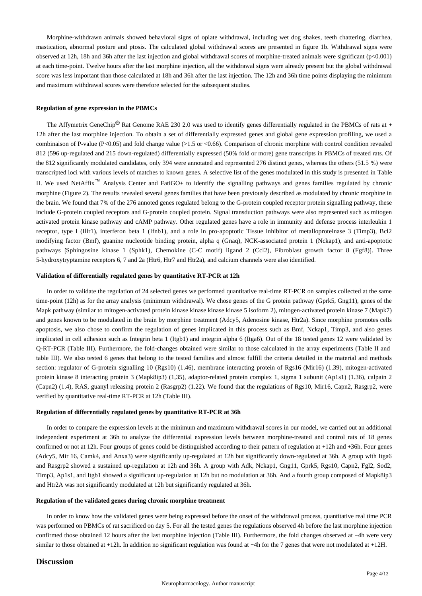Morphine-withdrawn animals showed behavioral signs of opiate withdrawal, including wet dog shakes, teeth chattering, diarrhea, mastication, abnormal posture and ptosis. The calculated global withdrawal scores are presented in figure 1b. Withdrawal signs were observed at 12h, 18h and 36h after the last injection and global withdrawal scores of morphine-treated animals were significant (p<0.001) at each time-point. Twelve hours after the last morphine injection, all the withdrawal signs were already present but the global withdrawal score was less important than those calculated at 18h and 36h after the last injection. The 12h and 36h time points displaying the minimum and maximum withdrawal scores were therefore selected for the subsequent studies.

### **Regulation of gene expression in the PBMCs**

The Affymetrix GeneChip® Rat Genome RAE 230 2.0 was used to identify genes differentially regulated in the PBMCs of rats at + 12h after the last morphine injection. To obtain a set of differentially expressed genes and global gene expression profiling, we used a combinaison of P-value (P<0.05) and fold change value (>1.5 or <0.66). Comparison of chronic morphine with control condition revealed 812 (596 up-regulated and 215 down-regulated) differentially expressed (50% fold or more) gene transcripts in PBMCs of treated rats. Of the 812 significantly modulated candidates, only 394 were annotated and represented 276 distinct genes, whereas the others (51.5 %) were transcripted loci with various levels of matches to known genes. A selective list of the genes modulated in this study is presented in Table II. We used NetAffix™ Analysis Center and FatiGO+ to identify the signalling pathways and genes families regulated by chronic morphine (Figure 2). The results revealed several genes families that have been previously described as modulated by chronic morphine in the brain. We found that 7% of the 276 annoted genes regulated belong to the G-protein coupled receptor protein signalling pathway, these include G-protein coupled receptors and G-protein coupled protein. Signal transduction pathways were also represented such as mitogen activated protein kinase pathway and cAMP pathway. Other regulated genes have a role in immunity and defense process interleukin 1 receptor, type I (Illr1), interferon beta 1 (Ifnb1), and a role in pro-apoptotic Tissue inhibitor of metalloproteinase 3 (Timp3), Bcl2 modifying factor (Bmf), guanine nucleotide binding protein, alpha q (Gnaq), NCK-associated protein 1 (Nckap1), and anti-apoptotic pathways [Sphingosine kinase 1 (Sphk1), Chemokine (C-C motif) ligand 2 (Ccl2), Fibroblast growth factor 8 (Fgf8)]. Three 5-hydroxytryptamine receptors 6, 7 and 2a (Htr6, Htr7 and Htr2a), and calcium channels were also identified.

#### **Validation of differentially regulated genes by quantitative RT-PCR at 12h**

In order to validate the regulation of 24 selected genes we performed quantitative real-time RT-PCR on samples collected at the same time-point (12h) as for the array analysis (minimum withdrawal). We chose genes of the G protein pathway (Gprk5, Gng11), genes of the Mapk pathway (similar to mitogen-activated protein kinase kinase kinase kinase 5 isoform 2), mitogen-activated protein kinase 7 (Mapk7) and genes known to be modulated in the brain by morphine treatment (Adcy5, Adenosine kinase, Htr2a). Since morphine promotes cells apoptosis, we also chose to confirm the regulation of genes implicated in this process such as Bmf, Nckap1, Timp3, and also genes implicated in cell adhesion such as Integrin beta 1 (Itgb1) and integrin alpha 6 (Itga6). Out of the 18 tested genes 12 were validated by Q-RT-PCR (Table III). Furthermore, the fold-changes obtained were similar to those calculated in the array experiments (Table II and table III). We also tested 6 genes that belong to the tested families and almost fulfill the criteria detailed in the material and methods section: regulator of G-protein signalling 10 (Rgs10) (1.46), membrane interacting protein of Rgs16 (Mir16) (1.39), mitogen-activated protein kinase 8 interacting protein 3 (Mapk8ip3) (1,35), adaptor-related protein complex 1, sigma 1 subunit (Ap1s1) (1.36), calpain 2 (Capn2) (1.4), RAS, guanyl releasing protein 2 (Rasgrp2) (1.22). We found that the regulations of Rgs10, Mir16, Capn2, Rasgrp2, were verified by quantitative real-time RT-PCR at 12h (Table III).

#### **Regulation of differentially regulated genes by quantitative RT-PCR at 36h**

In order to compare the expression levels at the minimum and maximum withdrawal scores in our model, we carried out an additional independent experiment at 36h to analyze the differential expression levels between morphine-treated and control rats of 18 genes confirmed or not at 12h. Four groups of genes could be distinguished according to their pattern of regulation at +12h and +36h. Four genes (Adcy5, Mir 16, Camk4, and Anxa3) were significantly up-regulated at 12h but significantly down-regulated at 36h. A group with Itga6 and Rasgrp2 showed a sustained up-regulation at 12h and 36h. A group with Adk, Nckap1, Gng11, Gprk5, Rgs10, Capn2, Fgl2, Sod2, Timp3, Ap1s1, and Itgb1 showed a significant up-regulation at 12h but no modulation at 36h. And a fourth group composed of Mapk8ip3 and Htr2A was not significantly modulated at 12h but significantly regulated at 36h.

#### **Regulation of the validated genes during chronic morphine treatment**

In order to know how the validated genes were being expressed before the onset of the withdrawal process, quantitative real time PCR was performed on PBMCs of rat sacrificed on day 5. For all the tested genes the regulations observed 4h before the last morphine injection confirmed those obtained 12 hours after the last morphine injection (Table III). Furthermore, the fold changes observed at −4h were very similar to those obtained at +12h. In addition no significant regulation was found at −4h for the 7 genes that were not modulated at +12H.

#### **Discussion**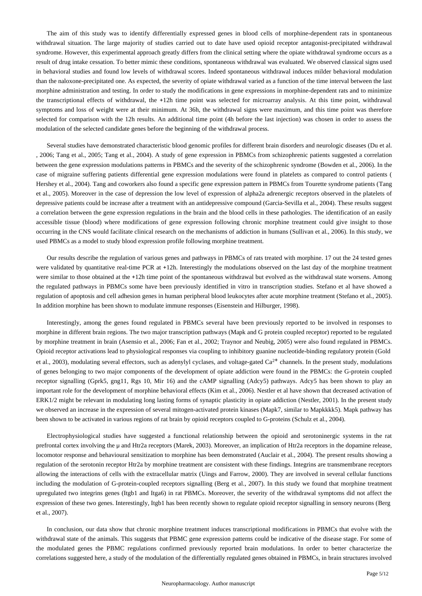The aim of this study was to identify differentially expressed genes in blood cells of morphine-dependent rats in spontaneous withdrawal situation. The large majority of studies carried out to date have used opioid receptor antagonist-precipitated withdrawal syndrome. However, this experimental approach greatly differs from the clinical setting where the opiate withdrawal syndrome occurs as a result of drug intake cessation. To better mimic these conditions, spontaneous withdrawal was evaluated. We observed classical signs used in behavioral studies and found low levels of withdrawal scores. Indeed spontaneous withdrawal induces milder behavioral modulation than the naloxone-precipitated one. As expected, the severity of opiate withdrawal varied as a function of the time interval between the last morphine administration and testing. In order to study the modifications in gene expressions in morphine-dependent rats and to minimize the transcriptional effects of withdrawal, the +12h time point was selected for microarray analysis. At this time point, withdrawal symptoms and loss of weight were at their minimum. At 36h, the withdrawal signs were maximum, and this time point was therefore selected for comparison with the 12h results. An additional time point (4h before the last injection) was chosen in order to assess the modulation of the selected candidate genes before the beginning of the withdrawal process.

Several studies have demonstrated characteristic blood genomic profiles for different brain disorders and neurologic diseases (Du et al. , 2006; Tang et al., 2005; Tang et al., 2004). A study of gene expression in PBMCs from schizophrenic patients suggested a correlation between the gene expression modulations patterns in PBMCs and the severity of the schizophrenic syndrome (Bowden et al., 2006). In the case of migraine suffering patients differential gene expression modulations were found in platelets as compared to control patients ( Hershey et al., 2004). Tang and coworkers also found a specific gene expression pattern in PBMCs from Tourette syndrome patients (Tang et al., 2005). Moreover in the case of depression the low level of expression of alpha2a adrenergic receptors observed in the platelets of depressive patients could be increase after a treatment with an antidepressive compound (Garcia-Sevilla et al., 2004). These results suggest a correlation between the gene expression regulations in the brain and the blood cells in these pathologies. The identification of an easily accessible tissue (blood) where modifications of gene expression following chronic morphine treatment could give insight to those occurring in the CNS would facilitate clinical research on the mechanisms of addiction in humans (Sullivan et al., 2006). In this study, we used PBMCs as a model to study blood expression profile following morphine treatment.

Our results describe the regulation of various genes and pathways in PBMCs of rats treated with morphine. 17 out the 24 tested genes were validated by quantitative real-time PCR at +12h. Interestingly the modulations observed on the last day of the morphine treatment were similar to those obtained at the +12h time point of the spontaneous withdrawal but evolved as the withdrawal state worsens. Among the regulated pathways in PBMCs some have been previously identified in vitro in transcription studies. Stefano et al have showed a regulation of apoptosis and cell adhesion genes in human peripheral blood leukocytes after acute morphine treatment (Stefano et al., 2005). In addition morphine has been shown to modulate immune responses (Eisenstein and Hilburger, 1998).

Interestingly, among the genes found regulated in PBMCs several have been previously reported to be involved in responses to morphine in different brain regions. The two major transcription pathways (Mapk and G protein coupled receptor) reported to be regulated by morphine treatment in brain (Asensio et al., 2006; Fan et al., 2002; Traynor and Neubig, 2005) were also found regulated in PBMCs. Opioid receptor activations lead to physiological responses via coupling to inhibitory guanine nucleotide-binding regulatory protein (Gold et al., 2003), modulating several effectors, such as adenylyl cyclases, and voltage-gated  $Ca<sup>2+</sup>$  channels. In the present study, modulations of genes belonging to two major components of the development of opiate addiction were found in the PBMCs: the G-protein coupled receptor signalling (Gprk5, gng11, Rgs 10, Mir 16) and the cAMP signalling (Adcy5) pathways. Adcy5 has been shown to play an important role for the development of morphine behavioral effects (Kim et al., 2006). Nestler et al have shown that decreased activation of ERK1/2 might be relevant in modulating long lasting forms of synaptic plasticity in opiate addiction (Nestler, 2001). In the present study we observed an increase in the expression of several mitogen-activated protein kinases (Mapk7, similar to Mapkkkk5). Mapk pathway has been shown to be activated in various regions of rat brain by opioid receptors coupled to G-proteins (Schulz et al., 2004).

Electrophysiological studies have suggested a functional relationship between the opioid and serotoninergic systems in the rat prefrontal cortex involving the μ and Htr2a receptors (Marek, 2003). Moreover, an implication of Htr2a receptors in the dopamine release, locomotor response and behavioural sensitization to morphine has been demonstrated (Auclair et al., 2004). The present results showing a regulation of the serotonin receptor Htr2a by morphine treatment are consistent with these findings. Integrins are transmembrane receptors allowing the interactions of cells with the extracellular matrix (Uings and Farrow, 2000). They are involved in several cellular functions including the modulation of G-protein-coupled receptors signalling (Berg et al., 2007). In this study we found that morphine treatment upregulated two integrins genes (Itgb1 and Itga6) in rat PBMCs. Moreover, the severity of the withdrawal symptoms did not affect the expression of these two genes. Interestingly, Itgb1 has been recently shown to regulate opioid receptor signalling in sensory neurons (Berg et al., 2007).

In conclusion, our data show that chronic morphine treatment induces transcriptional modifications in PBMCs that evolve with the withdrawal state of the animals. This suggests that PBMC gene expression patterns could be indicative of the disease stage. For some of the modulated genes the PBMC regulations confirmed previously reported brain modulations. In order to better characterize the correlations suggested here, a study of the modulation of the differentially regulated genes obtained in PBMCs, in brain structures involved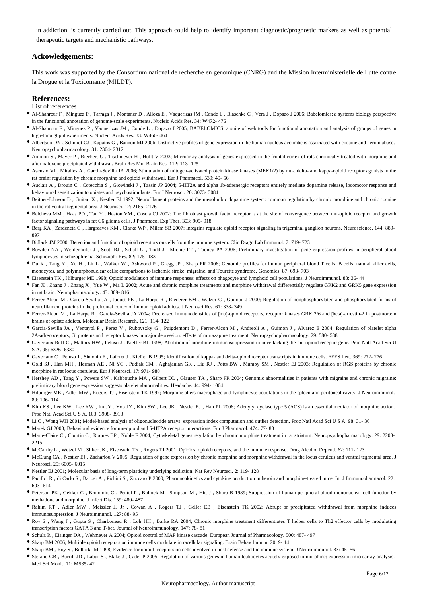in addiction, is currently carried out. This approach could help to identify important diagnostic/prognostic markers as well as potential therapeutic targets and mechanistic pathways.

## **Ackowledgements:**

This work was supported by the Consortium national de recherche en genomique (CNRG) and the Mission Interministerielle de Lutte contre la Drogue et la Toxicomanie (MILDT).

#### **References:**

#### List of references

- Al-Shahrour F , Minguez P , Tarraga J , Montaner D , Alloza E , Vaquerizas JM , Conde L , Blaschke C , Vera J , Dopazo J 2006; Babelomics: a systems biology perspective in the functional annotation of genome-scale experiments. Nucleic Acids Res. 34: W472- 476
- Al-Shahrour F , Minguez P , Vaquerizas JM , Conde L , Dopazo J 2005; BABELOMICS: a suite of web tools for functional annotation and analysis of groups of genes in high-throughput experiments. Nucleic Acids Res. 33: W460- 464
- Albertson DN , Schmidt CJ , Kapatos G , Bannon MJ 2006; Distinctive profiles of gene expression in the human nucleus accumbens associated with cocaine and heroin abuse. Neuropsychopharmacology. 31: 2304- 2312
- Ammon S , Mayer P , Riechert U , Tischmeyer H , Hollt V 2003; Microarray analysis of genes expressed in the frontal cortex of rats chronically treated with morphine and after naloxone precipitated withdrawal. Brain Res Mol Brain Res. 112: 113- 125
- Asensio VJ , Miralles A , Garcia-Sevilla JA 2006; Stimulation of mitogen-activated protein kinase kinases (MEK1/2) by mu-, delta- and kappa-opioid receptor agonists in the rat brain: regulation by chronic morphine and opioid withdrawal. Eur J Pharmacol. 539: 49- 56
- Auclair A , Drouin C , Cotecchia S , Glowinski J , Tassin JP 2004; 5-HT2A and alpha 1b-adrenergic receptors entirely mediate dopamine release, locomotor response and behavioural sensitization to opiates and psychostimulants. Eur J Neurosci. 20: 3073- 3084
- Beitner-Johnson D , Guitart X , Nestler EJ 1992; Neurofilament proteins and the mesolimbic dopamine system: common regulation by chronic morphine and chronic cocaine in the rat ventral tegmental area. J Neurosci. 12: 2165- 2176
- Belcheva MM , Haas PD , Tan Y , Heaton VM , Coscia CJ 2002; The fibroblast growth factor receptor is at the site of convergence between mu-opioid receptor and growth factor signaling pathways in rat C6 glioma cells. J Pharmacol Exp Ther. 303: 909- 918
- Berg KA , Zardeneta G , Hargreaves KM , Clarke WP , Milam SB 2007; Integrins regulate opioid receptor signaling in trigeminal ganglion neurons. Neuroscience. 144: 889- 897
- Bidlack JM 2000; Detection and function of opioid receptors on cells from the immune system. Clin Diagn Lab Immunol. 7: 719- 723
- Bowden NA , Weidenhofer J , Scott RJ , Schall U , Todd J , Michie PT , Tooney PA 2006; Preliminary investigation of gene expression profiles in peripheral blood lymphocytes in schizophrenia. Schizophr Res. 82: 175- 183
- Du X , Tang Y , Xu H , Lit L , Walker W , Ashwood P , Gregg JP , Sharp FR 2006; Genomic profiles for human peripheral blood T cells, B cells, natural killer cells, monocytes, and polymorphonuclear cells: comparisons to ischemic stroke, migraine, and Tourette syndrome. Genomics. 87: 693- 703
- Eisenstein TK , Hilburger ME 1998; Opioid modulation of immune responses: effects on phagocyte and lymphoid cell populations. J Neuroimmunol. 83: 36- 44
- Fan X , Zhang J , Zhang X , Yue W , Ma L 2002; Acute and chronic morphine treatments and morphine withdrawal differentially regulate GRK2 and GRK5 gene expression in rat brain. Neuropharmacology. 43: 809- 816
- Ferrer-Alcon M , Garcia-Sevilla JA , Jaquet PE , La Harpe R , Riederer BM , Walzer C , Guimon J 2000; Regulation of nonphosphorylated and phosphorylated forms of neurofilament proteins in the prefrontal cortex of human opioid addicts. J Neurosci Res. 61: 338- 349
- Ferrer-Alcon M , La Harpe R , Garcia-Sevilla JA 2004; Decreased immunodensities of [mu]-opioid receptors, receptor kinases GRK 2/6 and [beta]-arrestin-2 in postmortem brains of opiate addicts. Molecular Brain Research. 121: 114- 122
- Garcia-Sevilla JA , Ventayol P , Perez V , Rubovszky G , Puigdemont D , Ferrer-Alcon M , Andreoli A , Guimon J , Alvarez E 2004; Regulation of platelet alpha 2A-adrenoceptors, Gi proteins and receptor kinases in major depression: effects of mirtazapine treatment. Neuropsychopharmacology. 29: 580- 588
- Gaveriaux-Ruff C , Matthes HW , Peluso J , Kieffer BL 1998; Abolition of morphine-immunosuppression in mice lacking the mu-opioid receptor gene. Proc Natl Acad Sci U S A. 95: 6326- 6330
- Gaveriaux C , Peluso J , Simonin F , Laforet J , Kieffer B 1995; Identification of kappa- and delta-opioid receptor transcripts in immune cells. FEES Lett. 369: 272- 276
- Gold SJ , Han MH , Herman AE , Ni YG , Pudiak CM , Aghajanian GK , Liu RJ , Potts BW , Mumby SM , Nestler EJ 2003; Regulation of RGS proteins by chronic morphine in rat locus coeruleus. Eur J Neurosci. 17: 971- 980
- Hershey AD , Tang Y , Powers SW , Kabbouche MA , Gilbert DL , Glauser TA , Sharp FR 2004; Genomic abnormalities in patients with migraine and chronic migraine: preliminary blood gene expression suggests platelet abnormalities. Headache. 44: 994- 1004
- Hilburger ME , Adler MW , Rogers TJ , Eisenstein TK 1997; Morphine alters macrophage and lymphocyte populations in the spleen and peritoneal cavity. J Neuroimmunol. 80: 106- 114
- Kim KS , Lee KW , Lee KW , Im JY , Yoo JY , Kim SW , Lee JK , Nestler EJ , Han PL 2006; Adenylyl cyclase type 5 (ACS) is an essential mediator of morphine action. Proc Natl Acad Sci U S A. 103: 3908- 3913
- Li C , Wong WH 2001; Model-based analysis of oligonucleotide arrays: expression index computation and outlier detection. Proc Natl Acad Sci U S A. 98: 31- 36
- Marek GJ 2003; Behavioral evidence for mu-opioid and 5-HT2A receptor interactions. Eur J Pharmacol. 474: 77- 83
- Marie-Claire C , Courtin C , Roques BP , Noble F 2004; Cytoskeletal genes regulation by chronic morphine treatment in rat striatum. Neuropsychopharmacology. 29: 2208- 2215
- McCarthy L , Wetzel M , Sliker JK , Eisenstein TK , Rogers TJ 2001; Opioids, opioid receptors, and the immune response. Drug Alcohol Depend. 62: 111- 123
- McClung CA , Nestler EJ , Zachariou V 2005; Regulation of gene expression by chronic morphine and morphine withdrawal in the locus ceruleus and ventral tegmental area. J Neurosci. 25: 6005- 6015
- Nestler EJ 2001; Molecular basis of long-term plasticity underlying addiction. Nat Rev Neurosci. 2: 119- 128
- Pacifici R , di Carlo S , Bacosi A , Pichini S , Zuccaro P 2000; Pharmacokinetics and cytokine production in heroin and morphine-treated mice. Int J Immunopharmacol. 22: 603- 614
- Peterson PK , Gekker G , Brummitt C , Pentel P , Bullock M , Simpson M , Hitt J , Sharp B 1989; Suppression of human peripheral blood mononuclear cell function by methadone and morphine. J Infect Dis. 159: 480- 487
- Rahim RT , Adler MW , Meissler JJ Jr , Cowan A , Rogers TJ , Geller EB , Eisenstein TK 2002; Abrupt or precipitated withdrawal from morphine induces immunosuppression. J Neuroimmunol. 127: 88- 95
- Roy S , Wang J , Gupta S , Charboneau R , Loh HH , Barke RA 2004; Chronic morphine treatment differentiates T helper cells to Th2 effector cells by modulating transcription factors GATA 3 and T-bet. Journal of Neuroimmunology. 147: 78- 81
- Schulz R , Eisinger DA , Wehmeyer A 2004; Opioid control of MAP kinase cascade. European Journal of Pharmacology. 500: 487- 497
- Sharp BM 2006; Multiple opioid receptors on immune cells modulate intracellular signaling. Brain Behav Immun. 20: 9- 14
- Sharp BM , Roy S , Bidlack JM 1998; Evidence for opioid receptors on cells involved in host defense and the immune system. J Neuroimmunol. 83: 45- 56
- Stefano GB , Burrill JD , Labur S , Blake J , Cadet P 2005; Regulation of various genes in human leukocytes acutely exposed to morphine: expression microarray analysis. Med Sci Monit. 11: MS35- 42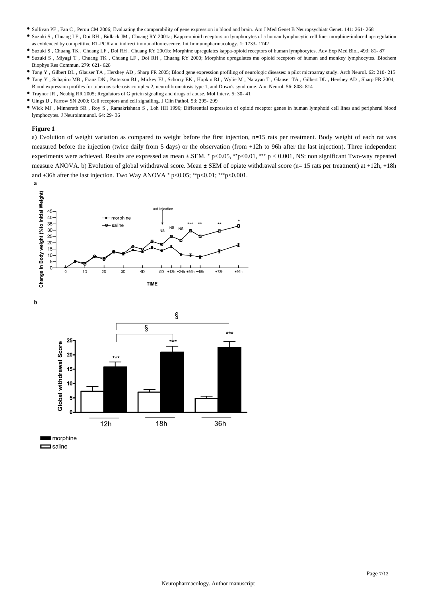- Sullivan PF , Fan C , Perou CM 2006; Evaluating the comparability of gene expression in blood and brain. Am J Med Genet B Neuropsychiatr Genet. 141: 261- 268
- Suzuki S , Chuang LF , Doi RH , Bidlack JM , Chuang RY 2001a; Kappa-opioid receptors on lymphocytes of a human lymphocytic cell line: morphine-induced up-regulation as evidenced by competitive RT-PCR and indirect immunofluorescence. Int Immunopharmacology. 1: 1733- 1742
- Suzuki S , Chuang TK , Chuang LF , Doi RH , Chuang RY 2001b; Morphine upregulates kappa-opioid receptors of human lymphocytes. Adv Exp Med Biol. 493: 81- 87
- Suzuki S , Miyagi T , Chuang TK , Chuang LF , Doi RH , Chuang RY 2000; Morphine upregulates mu opioid receptors of human and monkey lymphocytes. Biochem Biophys Res Commun. 279: 621- 628
- Tang Y , Gilbert DL , Glauser TA , Hershey AD , Sharp FR 2005; Blood gene expression profiling of neurologic diseases: a pilot microarray study. Arch Neurol. 62: 210- 215 Tang Y , Schapiro MB , Franz DN , Patterson BJ , Mickey FJ , Schorry EK , Hopkin RJ , Wylie M , Narayan T , Glauser TA , Gilbert DL , Hershey AD , Sharp FR 2004; Blood expression profiles for tuberous sclerosis complex 2, neurofibromatosis type 1, and Down's syndrome. Ann Neurol. 56: 808- 814
- Traynor JR , Neubig RR 2005; Regulators of G prtein signaling and drugs of abuse. Mol Interv. 5: 30- 41
- Uings IJ , Farrow SN 2000; Cell receptors and cell signalling. J Clin Pathol. 53: 295- 299
- Wick MJ , Minnerath SR , Roy S , Ramakrishnan S , Loh HH 1996; Differential expression of opioid receptor genes in human lymphoid cell lines and peripheral blood lymphocytes. J Neuroimmunol. 64: 29- 36

#### **Figure 1**

 $\mathbf b$ 

a) Evolution of weight variation as compared to weight before the first injection, n=15 rats per treatment. Body weight of each rat was measured before the injection (twice daily from 5 days) or the observation (from +12h to 96h after the last injection). Three independent experiments were achieved. Results are expressed as mean  $\pm$ . SEM. \* p<0.05, \*\*p<0.01, \*\*\* p < 0.001, NS: non significant Two-way repeated measure ANOVA. b) Evolution of global withdrawal score. Mean ± SEM of opiate withdrawal score (n= 15 rats per treatment) at +12h, +18h and +36h after the last injection. Two Way ANOVA \* p<0.05; \*\*p<0.01; \*\*\*p<0.001.





morphine  $\Box$  saline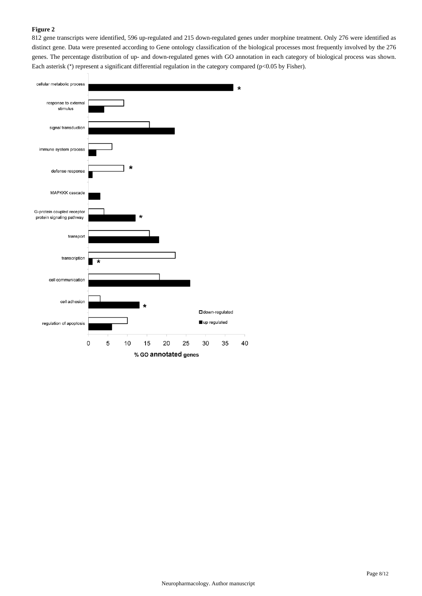## **Figure 2**

812 gene transcripts were identified, 596 up-regulated and 215 down-regulated genes under morphine treatment. Only 276 were identified as distinct gene. Data were presented according to Gene ontology classification of the biological processes most frequently involved by the 276 genes. The percentage distribution of up- and down-regulated genes with GO annotation in each category of biological process was shown. Each asterisk (\*) represent a significant differential regulation in the category compared (p<0.05 by Fisher).

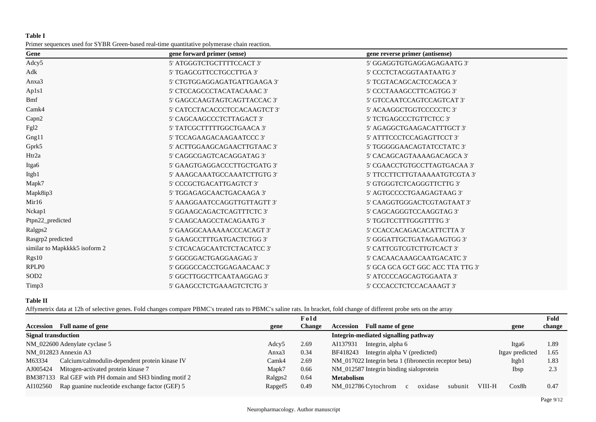## **Table I**

| Primer sequences used for SYBR Green-based real-time quantitative polymerase chain reaction. |  |  |  |
|----------------------------------------------------------------------------------------------|--|--|--|
|----------------------------------------------------------------------------------------------|--|--|--|

| gene forward primer (sense)   | gene reverse primer (antisense)   |
|-------------------------------|-----------------------------------|
| 5' ATGGGTCTGCTTTTCCACT 3'     | 5' GGAGGTGTGAGGAGAGAATG 3'        |
| 5' TGAGCGTTCCTGCCTTGA 3'      | 5' CCCTCTACGGTAATAATG 3'          |
| 5' CTGTGGAGGAGATGATTGAAGA 3'  | 5' TCGTACAGCACTCCAGCA 3'          |
| 5' CTCCAGCCCTACATACAAAC 3'    | 5' CCCTAAAGCCTTCAGTGG 3'          |
| 5' GAGCCAAGTAGTCAGTTACCAC 3'  | 5' GTCCAATCCAGTCCAGTCAT 3'        |
| 5' CATCCTACACCCTCCACAAGTCT 3' | 5' ACAAGGCTGGTCCCCCTC 3'          |
| 5' CAGCAAGCCCTCTTAGACT 3'     | 5' TCTGAGCCCTGTTCTCC 3'           |
| 5' TATCGCTTTTTGGCTGAACA 3'    | 5' AGAGGCTGAAGACATTTGCT 3'        |
| 5' TCCAGAAGACAAGAATCCC 3'     | 5' ATTTCCCTCCAGAGTTCCT 3'         |
| 5' ACTTGGAAGCAGAACTTGTAAC 3'  | 5' TGGGGGAACAGTATCCTATC 3'        |
| 5' CAGGCGAGTCACAGGATAG 3'     | 5' CACAGCAGTAAAAGACAGCA 3'        |
| 5' GAAGTGAGGACCCTTGCTGATG 3'  | 5' CGAACCTGTGCCTTAGTGACAA 3'      |
| 5' AAAGCAAATGCCAAATCTTGTG 3'  | 5' TTCCTTCTTGTAAAAATGTCGTA 3'     |
| 5' CCCGCTGACATTGAGTCT 3'      | 5' GTGGGTCTCAGGGTTCTTG 3'         |
| 5' TGGAGAGCAACTGACAAGA 3'     | 5' AGTGCCCCTGAAGAGTAAG 3'         |
| 5' AAAGGAATCCAGGTTGTTAGTT 3'  | 5' CAAGGTGGGACTCGTAGTAAT 3'       |
| 5' GGAAGCAGACTCAGTTTCTC 3'    | 5' CAGCAGGGTCCAAGGTAG 3'          |
| 5' CAAGCAAGCCTACAGAATG 3'     | 5' TGGTCCTTTGGGTTTTG 3'           |
| 5' GAAGGCAAAAAACCCACAGT 3'    | 5' CCACCACAGACACATTCTTA 3'        |
| 5' GAAGCCTTTGATGACTCTGG 3'    | 5' GGGATTGCTGATAGAAGTGG 3'        |
| 5' CTCACAGCAATCTCTACATCC 3'   | 5' CATTCGTCGTCTTGTCACT 3'         |
| 5' GGCGGACTGAGGAAGAG 3'       | 5' CACAACAAAGCAATGACATC 3'        |
| 5' GGGGCCACCTGGAGAACAAC 3'    | 5' GCA GCA GCT GGC ACC TTA TTG 3' |
| 5' GGCTTGGCTTCAATAAGGAG 3'    | 5' ATCCCCAGCAGTGGAATA 3'          |
| 5' GAAGCCTCTGAAAGTCTCTG 3'    | 5' CCCACCTCTCCACAAAGT 3'          |
|                               |                                   |

## **Table II**

Affymetrix data at 12h of selective genes. Fold changes compare PBMC's treated rats to PBMC's saline rats. In bracket, fold change of different probe sets on the array

|                            |                                                         |                   | Fold   |                                                                | Fold   |
|----------------------------|---------------------------------------------------------|-------------------|--------|----------------------------------------------------------------|--------|
| <b>Accession</b>           | Full name of gene                                       | gene              | Change | <b>Accession</b> Full name of gene<br>gene                     | change |
| <b>Signal transduction</b> |                                                         |                   |        | Integrin-mediated signalling pathway                           |        |
|                            | NM_022600 Adenylate cyclase 5                           | Adcy <sub>5</sub> | 2.69   | Integrin, alpha 6<br>AI137931<br>Itga6                         | 1.89   |
|                            | NM 012823 Annexin A3                                    | Anxa3             | 0.34   | Integrin alpha V (predicted)<br>BF418243<br>Itgav predicted    | 1.65   |
| M63334                     | Calcium/calmodulin-dependent protein kinase IV          | Camk4             | 2.69   | NM_017022 Integrin beta 1 (fibronectin receptor beta)<br>Itgb1 | 1.83   |
| AJ005424                   | Mitogen-activated protein kinase 7                      | Mapk7             | 0.66   | NM_012587 Integrin binding sialoprotein<br>Ibsp                | 2.3    |
|                            | BM387133 Ral GEF with PH domain and SH3 binding motif 2 | Ralgps2           | 0.64   | <b>Metabolism</b>                                              |        |
| AI102560                   | Rap guanine nucleotide exchange factor (GEF) 5          | Rapgef5           | 0.49   | VIII-H<br>Cox8h<br>NM 012786 Cytochrom<br>oxidase<br>subunit   | 0.47   |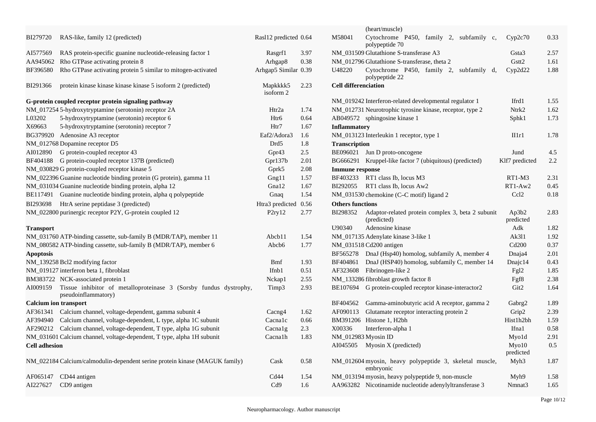|                      |                                                                                          |                       |      | (heart/muscle)                                                                                             |
|----------------------|------------------------------------------------------------------------------------------|-----------------------|------|------------------------------------------------------------------------------------------------------------|
| BI279720             | RAS-like, family 12 (predicted)                                                          | Rasl12 predicted 0.64 |      | M58041<br>Cytochrome P450, family 2, subfamily c,<br>0.33<br>Cyp2c70<br>polypeptide 70                     |
| AI577569             | RAS protein-specific guanine nucleotide-releasing factor 1                               | Rasgrf1               | 3.97 | NM_031509 Glutathione S-transferase A3<br>2.57<br>Gsta <sub>3</sub>                                        |
| AA945062             | Rho GTPase activating protein 8                                                          | Arhgap8               | 0.38 | Gstt2<br>NM_012796 Glutathione S-transferase, theta 2<br>1.61                                              |
| BF396580             | Rho GTPase activating protein 5 similar to mitogen-activated                             | Arhgap5 Similar 0.39  |      | Cyp2d22<br>1.88<br>U48220<br>Cytochrome P450, family 2, subfamily d,<br>polypeptide 22                     |
| BI291366             | protein kinase kinase kinase kinase 5 isoform 2 (predicted)                              | Mapkkkk5<br>isoform 2 | 2.23 | <b>Cell differenciation</b>                                                                                |
|                      | G-protein coupled receptor protein signaling pathway                                     |                       |      | NM_019242 Interferon-related developmental regulator 1<br>Ifrd1<br>1.55                                    |
|                      | NM_017254 5-hydroxytryptamine (serotonin) receptor 2A                                    | Htr2a                 | 1.74 | 1.62<br>NM_012731 Neurotrophic tyrosine kinase, receptor, type 2<br>Ntrk2                                  |
| L03202               | 5-hydroxytryptamine (serotonin) receptor 6                                               | Htr6                  | 0.64 | 1.73<br>AB049572 sphingosine kinase 1<br>Sphk1                                                             |
| X69663               | 5-hydroxytryptamine (serotonin) receptor 7                                               | Htr7                  | 1.67 | <b>Inflammatory</b>                                                                                        |
|                      | BG379920 Adenosine A3 receptor                                                           | Eaf2/Adora3           | 1.6  | 1.78<br>NM_013123 Interleukin 1 receptor, type 1<br>III1r1                                                 |
|                      | NM_012768 Dopamine receptor D5                                                           | Drd <sub>5</sub>      | 1.8  | <b>Transcription</b>                                                                                       |
| AI012890             | G protein-coupled receptor 43                                                            | Gpr43                 | 2.5  | BE096021 Jun D proto-oncogene<br>4.5<br>Jund                                                               |
| BF404188             | G protein-coupled receptor 137B (predicted)                                              | Gpr137b               | 2.01 | BG666291 Kruppel-like factor 7 (ubiquitous) (predicted)<br>2.2<br>Klf7 predicted                           |
|                      | NM_030829 G protein-coupled receptor kinase 5                                            | Gprk5                 | 2.08 | <b>Immune response</b>                                                                                     |
|                      | NM_022396 Guanine nucleotide binding protein (G protein), gamma 11                       | Gng11                 | 1.57 | BF403233 RT1 class Ib, locus M3<br>$RT1-M3$<br>2.31                                                        |
|                      | NM_031034 Guanine nucleotide binding protein, alpha 12                                   | Gna12                 | 1.67 | BI292055 RT1 class Ib, locus Aw2<br>$RT1-Aw2$<br>0.45                                                      |
|                      | BE117491 Guanine nucleotide binding protein, alpha q polypeptide                         | Gnaq                  | 1.54 | Ccl <sub>2</sub><br>0.18<br>NM_031530 chemokine (C-C motif) ligand 2                                       |
| BI293698             | HtrA serine peptidase 3 (predicted)                                                      | Htra3 predicted 0.56  |      | <b>Others functions</b>                                                                                    |
|                      | NM_022800 purinergic receptor P2Y, G-protein coupled 12                                  | P <sub>2ry</sub> 12   | 2.77 | BI298352<br>Adaptor-related protein complex 3, beta 2 subunit<br>Ap3b2<br>2.83<br>(predicted)<br>predicted |
| <b>Transport</b>     |                                                                                          |                       |      | U90340<br>Adenosine kinase<br>Adk<br>1.82                                                                  |
|                      | NM_031760 ATP-binding cassette, sub-family B (MDR/TAP), member 11                        | Abcb11                | 1.54 | 1.92<br>NM_017135 Adenylate kinase 3-like 1<br>Ak311                                                       |
|                      | NM_080582 ATP-binding cassette, sub-family B (MDR/TAP), member 6                         | Abcb6                 | 1.77 | Cd200<br>0.37<br>NM_031518 Cd200 antigen                                                                   |
| <b>Apoptosis</b>     |                                                                                          |                       |      | 2.01<br>BF565278 DnaJ (Hsp40) homolog, subfamily A, member 4<br>Dnaja4                                     |
|                      | NM_139258 Bcl2 modifying factor                                                          | <b>Bmf</b>            | 1.93 | BF404861 DnaJ (HSP40) homolog, subfamily C, member 14<br>0.43<br>Dnajc14                                   |
|                      | NM_019127 interferon beta 1, fibroblast                                                  | Ifnb1                 | 0.51 | AF323608 Fibrinogen-like 2<br>1.85<br>Fg <sub>12</sub>                                                     |
|                      | BM383722 NCK-associated protein 1                                                        | Nckap1                | 2.55 | 2.38<br>NM_133286 fibroblast growth factor 8<br>Fgf8                                                       |
| AI009159             | Tissue inhibitor of metalloproteinase 3 (Sorsby fundus dystrophy,<br>pseudoinflammatory) | Timp3                 | 2.93 | BE107694 G protein-coupled receptor kinase-interactor2<br>Git <sub>2</sub><br>1.64                         |
|                      | <b>Calcium ion transport</b>                                                             |                       |      | BF404562 Gamma-aminobutyric acid A receptor, gamma 2<br>1.89<br>Gabrg <sub>2</sub>                         |
|                      | AF361341 Calcium channel, voltage-dependent, gamma subunit 4                             | Cacng4                | 1.62 | AF090113 Glutamate receptor interacting protein 2<br>Grip2<br>2.39                                         |
|                      | AF394940 Calcium channel, voltage-dependent, L type, alpha 1C subunit                    | Cacnalc               | 0.66 | BM391206 Histone 1, H2bh<br>Hist1h2bh<br>1.59                                                              |
|                      | AF290212 Calcium channel, voltage-dependent, T type, alpha 1G subunit                    | Cacnalg               | 2.3  | X00336<br>0.58<br>Interferon-alpha 1<br>Ifna1                                                              |
|                      | NM_031601 Calcium channel, voltage-dependent, T type, alpha 1H subunit                   | Cacnalh               | 1.83 | NM_012983 Myosin ID<br>Myo1d<br>2.91                                                                       |
| <b>Cell adhesion</b> |                                                                                          |                       |      | 0.5<br>AI045505 Myosin X (predicted)<br>$M$ vo $10$<br>predicted                                           |
|                      | NM_022184 Calcium/calmodulin-dependent serine protein kinase (MAGUK family)              | Cask                  | 0.58 | NM_012604 myosin, heavy polypeptide 3, skeletal muscle,<br>Myh3<br>1.87<br>embryonic                       |
| AF065147             | CD44 antigen                                                                             | C <sub>d44</sub>      | 1.54 | NM_013194 myosin, heavy polypeptide 9, non-muscle<br>1.58<br>Myh9                                          |
| AI227627             | CD9 antigen                                                                              | Cd9                   | 1.6  | AA963282 Nicotinamide nucleotide adenylyltransferase 3<br>1.65<br>Nmnat3                                   |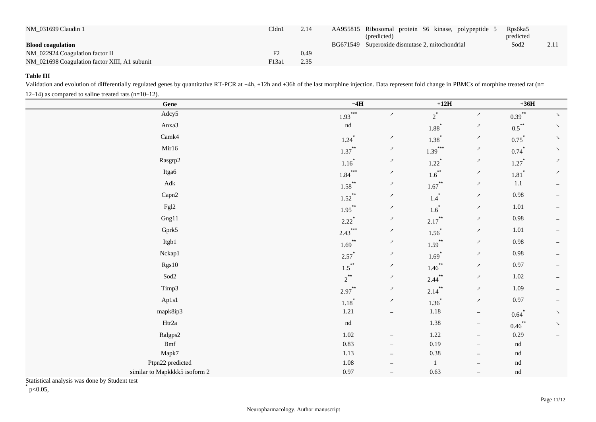| NM 031699 Claudin 1                           | Cldn1             | 2.14 | AA955815 Ribosomal protein S6 kinase, polypeptide 5<br>(predicted) | Rps6ka5<br>predicted |      |
|-----------------------------------------------|-------------------|------|--------------------------------------------------------------------|----------------------|------|
| <b>Blood coagulation</b>                      |                   |      | BG671549 Superoxide dismutase 2, mitochondrial                     | Sod <sub>2</sub>     | 2.11 |
| NM 022924 Coagulation factor II               |                   | 0.49 |                                                                    |                      |      |
| NM_021698 Coagulation factor XIII, A1 subunit | F <sub>13a1</sub> | 2.35 |                                                                    |                      |      |

## **Table III**

Validation and evolution of differentially regulated genes by quantitative RT-PCR at -4h, +12h and +36h of the last morphine injection. Data represent fold change in PBMCs of morphine treated rat (n= 12–14) as compared to saline treated rats (n=10–12).

| Gene                          | $-4H$                      |                          | $+12H$               |                          | $+36H$                     |                          |
|-------------------------------|----------------------------|--------------------------|----------------------|--------------------------|----------------------------|--------------------------|
| Adcy5                         | $***$<br>1.93              | $\nearrow$               | $2^*$                | $\boldsymbol{\lambda}$   | $0.39$ **                  | $\searrow$               |
| Anxa3                         | $\mathop{\rm nd}\nolimits$ |                          | $1.88^{*}$           | $\boldsymbol{\lambda}$   | $0.5$ **                   | $\searrow$               |
| Camk4                         | $1.24$ <sup>*</sup>        | $\lambda$                | $1.38^{*}$           | $\lambda$                | $0.75^*$                   | $\searrow$               |
| Mir16                         | $1.37$ <sup>**</sup>       | $\lambda$                | $1.39***$            | $\lambda$                | $0.74$ <sup>*</sup>        | $\searrow$               |
| $\rm Rasgrp2$                 | $1.16^{*}$                 | $\boldsymbol{\lambda}$   | $1.22$ <sup>*</sup>  | $\boldsymbol{\lambda}$   | $1.27$ <sup>*</sup>        | $\nearrow$               |
| Itga6                         | $1.84***$                  | $\boldsymbol{\lambda}$   | $1.6$ <sup>**</sup>  | $\boldsymbol{\lambda}$   | $1.81$ $\!\star$           | $\boldsymbol{\lambda}$   |
| $\operatorname{\mathsf{Adk}}$ | $1.58$ <sup>**</sup>       | $\boldsymbol{\lambda}$   | $1.67$ <sup>**</sup> | $\boldsymbol{\lambda}$   | $1.1\,$                    | $-$                      |
| Capn2                         | $1.52$ <sup>**</sup>       | $\nearrow$               | $1.4$ <sup>*</sup>   | $\boldsymbol{\lambda}$   | 0.98                       | $\overline{\phantom{m}}$ |
| Fgl2                          | $1.95***$                  | $\boldsymbol{\lambda}$   | $1.6^*$              | $\boldsymbol{\lambda}$   | 1.01                       | $-$                      |
| Gng11                         | $2.22$ <sup>*</sup>        | $\lambda$                | $2.17$ <sup>**</sup> | $\boldsymbol{\lambda}$   | 0.98                       | $\overline{\phantom{m}}$ |
| Gprk5                         | $2.43***$                  | $\boldsymbol{\lambda}$   | $1.56^{*}$           | $\boldsymbol{\lambda}$   | 1.01                       | $\qquad \qquad -$        |
| Itgb1                         | $1.69$ **                  | $\lambda$                | $1.59$ **            | $\boldsymbol{\lambda}$   | 0.98                       | $\overline{\phantom{m}}$ |
| Nckap1                        | $2.57^*$                   | $\lambda$                | $1.69$ <sup>*</sup>  | $\boldsymbol{\lambda}$   | $0.98\,$                   | $\overline{\phantom{m}}$ |
| Rgs10                         | $1.5***$                   | $\boldsymbol{\lambda}$   | $1.46$ <sup>**</sup> | $\boldsymbol{\lambda}$   | 0.97                       | $-$                      |
| Sod2                          | $2^{**}$                   | $\boldsymbol{\lambda}$   | $2.44$ **            | $\boldsymbol{\lambda}$   | $1.02\,$                   | $\overline{\phantom{m}}$ |
| Timp3                         | $2.97$ **                  | $\boldsymbol{\lambda}$   | $2.14$ **            | $\boldsymbol{\lambda}$   | 1.09                       | $\overline{\phantom{m}}$ |
| Ap1s1                         | $1.18^{*}$                 | $\boldsymbol{\lambda}$   | $1.36^{*}$           | $\boldsymbol{\lambda}$   | 0.97                       | $\overline{\phantom{m}}$ |
| mapk8ip3                      | 1.21                       | $\overline{\phantom{m}}$ | $1.18\,$             | $\overline{\phantom{a}}$ | $0.64$ <sup>*</sup>        | $\searrow$               |
| Htr2a                         | $\mathop{\rm nd}\nolimits$ |                          | 1.38                 | $\overline{\phantom{m}}$ | $0.46$ **                  | $\searrow$               |
| Ralgps2                       | 1.02                       | $\overline{\phantom{m}}$ | 1.22                 | $-$                      | 0.29                       | $\overline{\phantom{m}}$ |
| $\operatorname{Bmf}$          | 0.83                       | $\overline{\phantom{m}}$ | 0.19                 | $-$                      | $\mathop{\rm nd}\nolimits$ |                          |
| Mapk7                         | 1.13                       | $\overline{\phantom{m}}$ | $0.38\,$             | $-$                      | nd                         |                          |
| Ptpn22 predicted              | $1.08\,$                   | $\qquad \qquad -$        | $\mathbf{1}$         | $\qquad \qquad -$        | nd                         |                          |
| similar to Mapkkkk5 isoform 2 | $0.97\,$                   | $\overline{\phantom{a}}$ | 0.63                 | $\overline{\phantom{a}}$ | nd                         |                          |

Statistical analysis was done by Student test

 $*$  p<0.05,